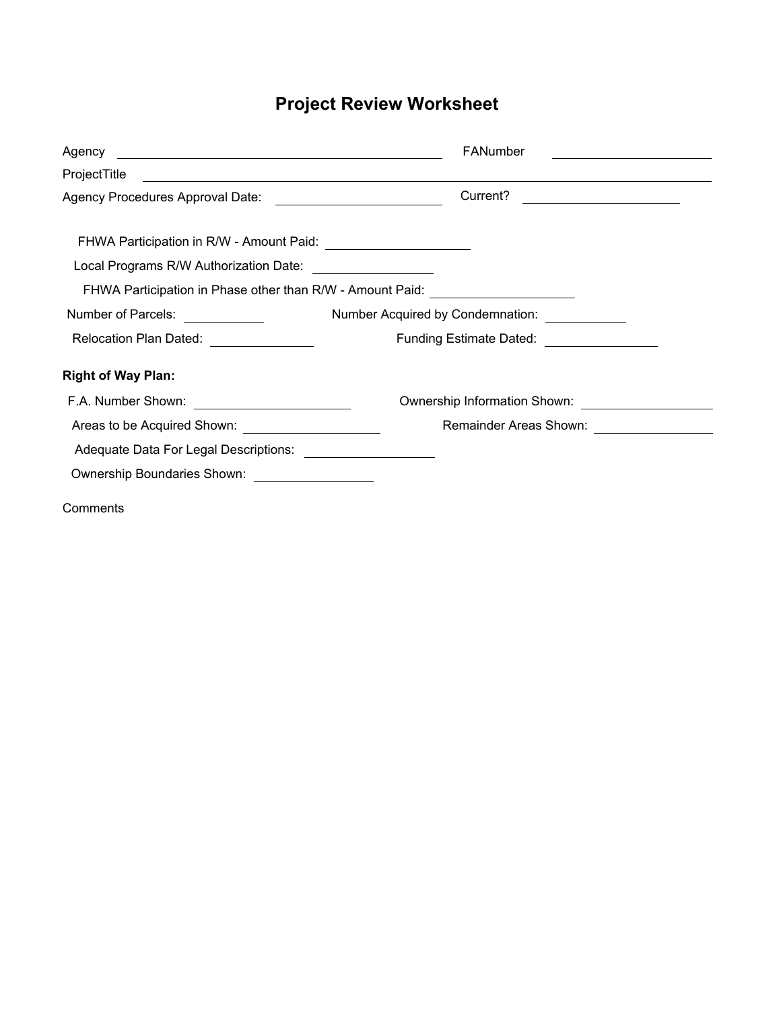# **Project Review Worksheet**

|                                                                | FANumber<br><u> 1989 - Andrea Station Barbara, politik eta provincia eta provincia eta provincia eta provincia eta provincia</u> |
|----------------------------------------------------------------|----------------------------------------------------------------------------------------------------------------------------------|
| ProjectTitle                                                   | <u> 1989 - Johann Stoff, deutscher Stoffen und der Stoffen und der Stoffen und der Stoffen und der Stoffen und der</u>           |
| Agency Procedures Approval Date: _____________________________ | Current?<br><u> 1980 - Johann Barbara, martin a</u>                                                                              |
|                                                                |                                                                                                                                  |
| Local Programs R/W Authorization Date: __________________      |                                                                                                                                  |
|                                                                | FHWA Participation in Phase other than R/W - Amount Paid: ______________________                                                 |
| Number of Parcels: ____________                                | Number Acquired by Condemnation: ____________                                                                                    |
| Relocation Plan Dated: _______________                         | Funding Estimate Dated: _________________                                                                                        |
| <b>Right of Way Plan:</b>                                      |                                                                                                                                  |
|                                                                | Ownership Information Shown:                                                                                                     |
| Areas to be Acquired Shown: _____________________              |                                                                                                                                  |
| Adequate Data For Legal Descriptions: ____________________     |                                                                                                                                  |
| Ownership Boundaries Shown: __________________                 |                                                                                                                                  |
| Comments                                                       |                                                                                                                                  |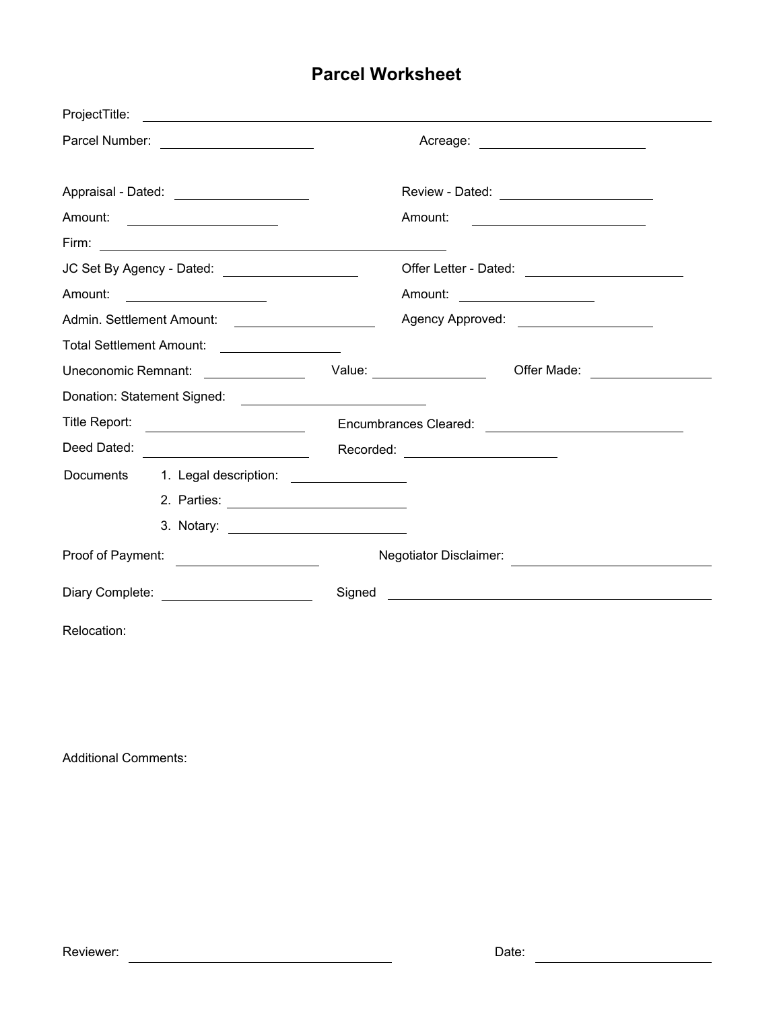## **Parcel Worksheet**

| ProjectTitle:                             |                                                   |                                           |                                                 |  |
|-------------------------------------------|---------------------------------------------------|-------------------------------------------|-------------------------------------------------|--|
|                                           |                                                   | Acreage: ________________________         |                                                 |  |
| Appraisal - Dated: ______________________ |                                                   | Review - Dated: _________________________ |                                                 |  |
|                                           | Amount: ______________________                    | Amount:                                   |                                                 |  |
|                                           |                                                   |                                           |                                                 |  |
|                                           | JC Set By Agency - Dated: _____________________   |                                           | Offer Letter - Dated: _________________________ |  |
| Amount:                                   | <u> 1990 - Johann Barn, mars ann an t-</u>        | Amount: _____________________             |                                                 |  |
|                                           |                                                   | Agency Approved: _____________________    |                                                 |  |
|                                           | Total Settlement Amount: __________________       |                                           |                                                 |  |
|                                           | Uneconomic Remnant: <u>__________________</u>     | Value: ________________                   | Offer Made: __________________                  |  |
|                                           |                                                   |                                           |                                                 |  |
| Title Report:                             |                                                   |                                           |                                                 |  |
|                                           | Deed Dated: <u>_______________________</u>        | Recorded: _______________________         |                                                 |  |
|                                           | Documents 1. Legal description: _________________ |                                           |                                                 |  |
|                                           |                                                   |                                           |                                                 |  |
|                                           |                                                   |                                           |                                                 |  |
| Proof of Payment: ____________________    |                                                   |                                           |                                                 |  |
| Diary Complete: _________________________ |                                                   | Signed                                    | <u> 1989 - Johann Stone, mars et al. (</u>      |  |
| Relocation:                               |                                                   |                                           |                                                 |  |

Additional Comments: